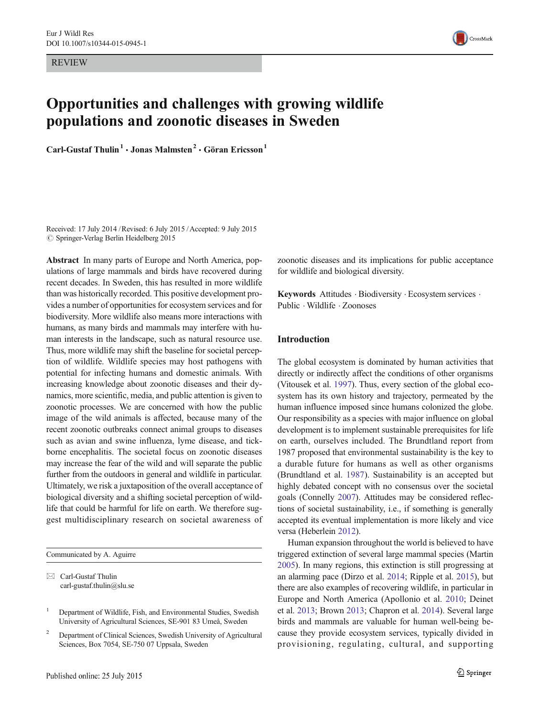REVIEW



# Opportunities and challenges with growing wildlife populations and zoonotic diseases in Sweden

Carl-Gustaf Thulin<sup>1</sup>  $\cdot$  Jonas Malmsten<sup>2</sup>  $\cdot$  Göran Ericsson<sup>1</sup>

Received: 17 July 2014 /Revised: 6 July 2015 /Accepted: 9 July 2015  $\oslash$  Springer-Verlag Berlin Heidelberg 2015

Abstract In many parts of Europe and North America, populations of large mammals and birds have recovered during recent decades. In Sweden, this has resulted in more wildlife than was historically recorded. This positive development provides a number of opportunities for ecosystem services and for biodiversity. More wildlife also means more interactions with humans, as many birds and mammals may interfere with human interests in the landscape, such as natural resource use. Thus, more wildlife may shift the baseline for societal perception of wildlife. Wildlife species may host pathogens with potential for infecting humans and domestic animals. With increasing knowledge about zoonotic diseases and their dynamics, more scientific, media, and public attention is given to zoonotic processes. We are concerned with how the public image of the wild animals is affected, because many of the recent zoonotic outbreaks connect animal groups to diseases such as avian and swine influenza, lyme disease, and tickborne encephalitis. The societal focus on zoonotic diseases may increase the fear of the wild and will separate the public further from the outdoors in general and wildlife in particular. Ultimately, we risk a juxtaposition of the overall acceptance of biological diversity and a shifting societal perception of wildlife that could be harmful for life on earth. We therefore suggest multidisciplinary research on societal awareness of

Communicated by A. Aguirre

 $\boxtimes$  Carl-Gustaf Thulin carl-gustaf.thulin@slu.se zoonotic diseases and its implications for public acceptance for wildlife and biological diversity.

Keywords Attitudes · Biodiversity · Ecosystem services · Public . Wildlife . Zoonoses

# Introduction

The global ecosystem is dominated by human activities that directly or indirectly affect the conditions of other organisms (Vitousek et al. [1997\)](#page-7-0). Thus, every section of the global ecosystem has its own history and trajectory, permeated by the human influence imposed since humans colonized the globe. Our responsibility as a species with major influence on global development is to implement sustainable prerequisites for life on earth, ourselves included. The Brundtland report from 1987 proposed that environmental sustainability is the key to a durable future for humans as well as other organisms (Brundtland et al. [1987](#page-6-0)). Sustainability is an accepted but highly debated concept with no consensus over the societal goals (Connelly [2007](#page-6-0)). Attitudes may be considered reflections of societal sustainability, i.e., if something is generally accepted its eventual implementation is more likely and vice versa (Heberlein [2012](#page-6-0)).

Human expansion throughout the world is believed to have triggered extinction of several large mammal species (Martin [2005\)](#page-7-0). In many regions, this extinction is still progressing at an alarming pace (Dirzo et al. [2014;](#page-6-0) Ripple et al. [2015](#page-7-0)), but there are also examples of recovering wildlife, in particular in Europe and North America (Apollonio et al. [2010;](#page-6-0) Deinet et al. [2013;](#page-6-0) Brown [2013;](#page-6-0) Chapron et al. [2014](#page-6-0)). Several large birds and mammals are valuable for human well-being because they provide ecosystem services, typically divided in provisioning, regulating, cultural, and supporting

<sup>&</sup>lt;sup>1</sup> Department of Wildlife, Fish, and Environmental Studies, Swedish University of Agricultural Sciences, SE-901 83 Umeå, Sweden

<sup>&</sup>lt;sup>2</sup> Department of Clinical Sciences, Swedish University of Agricultural Sciences, Box 7054, SE-750 07 Uppsala, Sweden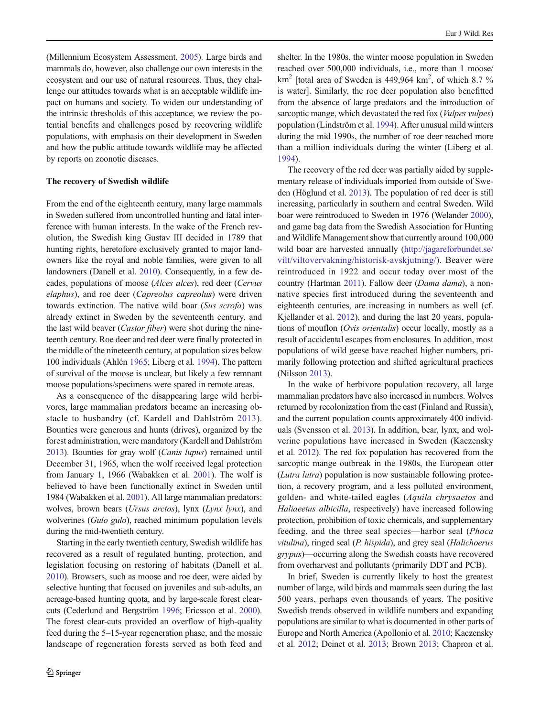(Millennium Ecosystem Assessment, [2005\)](#page-7-0). Large birds and mammals do, however, also challenge our own interests in the ecosystem and our use of natural resources. Thus, they challenge our attitudes towards what is an acceptable wildlife impact on humans and society. To widen our understanding of the intrinsic thresholds of this acceptance, we review the potential benefits and challenges posed by recovering wildlife populations, with emphasis on their development in Sweden and how the public attitude towards wildlife may be affected by reports on zoonotic diseases.

## The recovery of Swedish wildlife

From the end of the eighteenth century, many large mammals in Sweden suffered from uncontrolled hunting and fatal interference with human interests. In the wake of the French revolution, the Swedish king Gustav III decided in 1789 that hunting rights, heretofore exclusively granted to major landowners like the royal and noble families, were given to all landowners (Danell et al. [2010](#page-6-0)). Consequently, in a few decades, populations of moose (Alces alces), red deer (Cervus elaphus), and roe deer (Capreolus capreolus) were driven towards extinction. The native wild boar (Sus scrofa) was already extinct in Sweden by the seventeenth century, and the last wild beaver (Castor fiber) were shot during the nineteenth century. Roe deer and red deer were finally protected in the middle of the nineteenth century, at population sizes below 100 individuals (Ahlén [1965;](#page-6-0) Liberg et al. [1994\)](#page-7-0). The pattern of survival of the moose is unclear, but likely a few remnant moose populations/specimens were spared in remote areas.

As a consequence of the disappearing large wild herbivores, large mammalian predators became an increasing obstacle to husbandry (cf. Kardell and Dahlström [2013](#page-6-0)). Bounties were generous and hunts (drives), organized by the forest administration, were mandatory (Kardell and Dahlström [2013\)](#page-6-0). Bounties for gray wolf (Canis lupus) remained until December 31, 1965, when the wolf received legal protection from January 1, 1966 (Wabakken et al. [2001](#page-7-0)). The wolf is believed to have been functionally extinct in Sweden until 1984 (Wabakken et al. [2001](#page-7-0)). All large mammalian predators: wolves, brown bears (Ursus arctos), lynx (Lynx lynx), and wolverines (Gulo gulo), reached minimum population levels during the mid-twentieth century.

Starting in the early twentieth century, Swedish wildlife has recovered as a result of regulated hunting, protection, and legislation focusing on restoring of habitats (Danell et al. [2010\)](#page-6-0). Browsers, such as moose and roe deer, were aided by selective hunting that focused on juveniles and sub-adults, an acreage-based hunting quota, and by large-scale forest clearcuts (Cederlund and Bergström [1996](#page-6-0); Ericsson et al. [2000\)](#page-6-0). The forest clear-cuts provided an overflow of high-quality feed during the 5–15-year regeneration phase, and the mosaic landscape of regeneration forests served as both feed and shelter. In the 1980s, the winter moose population in Sweden reached over 500,000 individuals, i.e., more than 1 moose/ km<sup>2</sup> [total area of Sweden is 449,964 km<sup>2</sup>, of which 8.7 % is water]. Similarly, the roe deer population also benefitted from the absence of large predators and the introduction of sarcoptic mange, which devastated the red fox (*Vulpes vulpes*) population (Lindström et al. [1994](#page-7-0)). After unusual mild winters during the mid 1990s, the number of roe deer reached more than a million individuals during the winter (Liberg et al. [1994\)](#page-7-0).

The recovery of the red deer was partially aided by supplementary release of individuals imported from outside of Sweden (Höglund et al. [2013\)](#page-6-0). The population of red deer is still increasing, particularly in southern and central Sweden. Wild boar were reintroduced to Sweden in 1976 (Welander [2000\)](#page-7-0), and game bag data from the Swedish Association for Hunting and Wildlife Management show that currently around 100,000 wild boar are harvested annually ([http://jagareforbundet.se/](http://jagareforbundet.se/vilt/viltovervakning/historisk-avskjutning/) [vilt/viltovervakning/historisk-avskjutning/](http://jagareforbundet.se/vilt/viltovervakning/historisk-avskjutning/)). Beaver were reintroduced in 1922 and occur today over most of the country (Hartman [2011\)](#page-6-0). Fallow deer (Dama dama), a nonnative species first introduced during the seventeenth and eighteenth centuries, are increasing in numbers as well (cf. Kjellander et al. [2012](#page-6-0)), and during the last 20 years, populations of mouflon (Ovis orientalis) occur locally, mostly as a result of accidental escapes from enclosures. In addition, most populations of wild geese have reached higher numbers, primarily following protection and shifted agricultural practices (Nilsson [2013](#page-7-0)).

In the wake of herbivore population recovery, all large mammalian predators have also increased in numbers. Wolves returned by recolonization from the east (Finland and Russia), and the current population counts approximately 400 individuals (Svensson et al. [2013\)](#page-7-0). In addition, bear, lynx, and wolverine populations have increased in Sweden (Kaczensky et al. [2012\)](#page-6-0). The red fox population has recovered from the sarcoptic mange outbreak in the 1980s, the European otter (Lutra lutra) population is now sustainable following protection, a recovery program, and a less polluted environment, golden- and white-tailed eagles (Aquila chrysaetos and Haliaeetus albicilla, respectively) have increased following protection, prohibition of toxic chemicals, and supplementary feeding, and the three seal species—harbor seal (Phoca vitulina), ringed seal (P. hispida), and grey seal (Halichoerus grypus)—occurring along the Swedish coasts have recovered from overharvest and pollutants (primarily DDT and PCB).

In brief, Sweden is currently likely to host the greatest number of large, wild birds and mammals seen during the last 500 years, perhaps even thousands of years. The positive Swedish trends observed in wildlife numbers and expanding populations are similar to what is documented in other parts of Europe and North America (Apollonio et al. [2010;](#page-6-0) Kaczensky et al. [2012;](#page-6-0) Deinet et al. [2013](#page-6-0); Brown [2013;](#page-6-0) Chapron et al.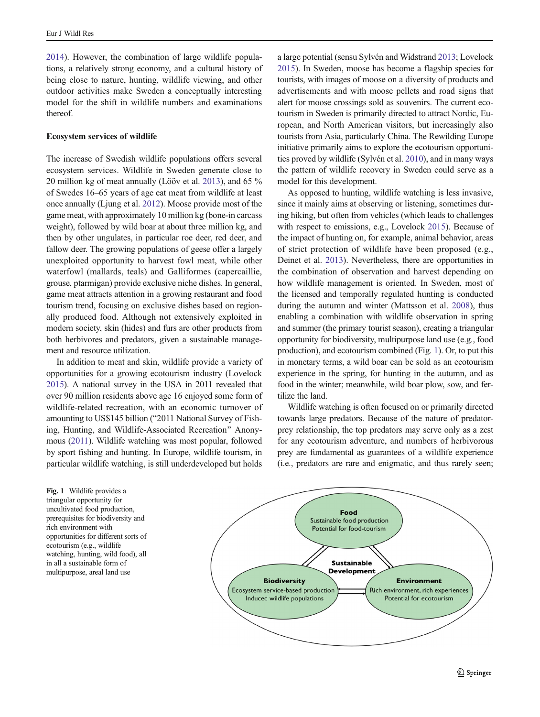[2014\)](#page-6-0). However, the combination of large wildlife populations, a relatively strong economy, and a cultural history of being close to nature, hunting, wildlife viewing, and other outdoor activities make Sweden a conceptually interesting model for the shift in wildlife numbers and examinations thereof.

## Ecosystem services of wildlife

The increase of Swedish wildlife populations offers several ecosystem services. Wildlife in Sweden generate close to 20 million kg of meat annually (Lööv et al. [2013](#page-7-0)), and 65 % of Swedes 16–65 years of age eat meat from wildlife at least once annually (Ljung et al. [2012\)](#page-7-0). Moose provide most of the game meat, with approximately 10 million kg (bone-in carcass weight), followed by wild boar at about three million kg, and then by other ungulates, in particular roe deer, red deer, and fallow deer. The growing populations of geese offer a largely unexploited opportunity to harvest fowl meat, while other waterfowl (mallards, teals) and Galliformes (capercaillie, grouse, ptarmigan) provide exclusive niche dishes. In general, game meat attracts attention in a growing restaurant and food tourism trend, focusing on exclusive dishes based on regionally produced food. Although not extensively exploited in modern society, skin (hides) and furs are other products from both herbivores and predators, given a sustainable management and resource utilization.

In addition to meat and skin, wildlife provide a variety of opportunities for a growing ecotourism industry (Lovelock [2015\)](#page-7-0). A national survey in the USA in 2011 revealed that over 90 million residents above age 16 enjoyed some form of wildlife-related recreation, with an economic turnover of amounting to US\$145 billion ("2011 National Survey of Fishing, Hunting, and Wildlife-Associated Recreation^ Anonymous [\(2011\)](#page-6-0). Wildlife watching was most popular, followed by sport fishing and hunting. In Europe, wildlife tourism, in particular wildlife watching, is still underdeveloped but holds

a large potential (sensu Sylvén and Widstrand [2013;](#page-7-0) Lovelock [2015\)](#page-7-0). In Sweden, moose has become a flagship species for tourists, with images of moose on a diversity of products and advertisements and with moose pellets and road signs that alert for moose crossings sold as souvenirs. The current ecotourism in Sweden is primarily directed to attract Nordic, European, and North American visitors, but increasingly also tourists from Asia, particularly China. The Rewilding Europe initiative primarily aims to explore the ecotourism opportunities proved by wildlife (Sylvén et al. [2010\)](#page-7-0), and in many ways the pattern of wildlife recovery in Sweden could serve as a model for this development.

As opposed to hunting, wildlife watching is less invasive, since it mainly aims at observing or listening, sometimes during hiking, but often from vehicles (which leads to challenges with respect to emissions, e.g., Lovelock [2015\)](#page-7-0). Because of the impact of hunting on, for example, animal behavior, areas of strict protection of wildlife have been proposed (e.g., Deinet et al. [2013\)](#page-6-0). Nevertheless, there are opportunities in the combination of observation and harvest depending on how wildlife management is oriented. In Sweden, most of the licensed and temporally regulated hunting is conducted during the autumn and winter (Mattsson et al. [2008](#page-7-0)), thus enabling a combination with wildlife observation in spring and summer (the primary tourist season), creating a triangular opportunity for biodiversity, multipurpose land use (e.g., food production), and ecotourism combined (Fig. 1). Or, to put this in monetary terms, a wild boar can be sold as an ecotourism experience in the spring, for hunting in the autumn, and as food in the winter; meanwhile, wild boar plow, sow, and fertilize the land.

Wildlife watching is often focused on or primarily directed towards large predators. Because of the nature of predatorprey relationship, the top predators may serve only as a zest for any ecotourism adventure, and numbers of herbivorous prey are fundamental as guarantees of a wildlife experience (i.e., predators are rare and enigmatic, and thus rarely seen;

Fig. 1 Wildlife provides a triangular opportunity for uncultivated food production, prerequisites for biodiversity and rich environment with opportunities for different sorts of ecotourism (e.g., wildlife watching, hunting, wild food), all in all a sustainable form of multipurpose, areal land use

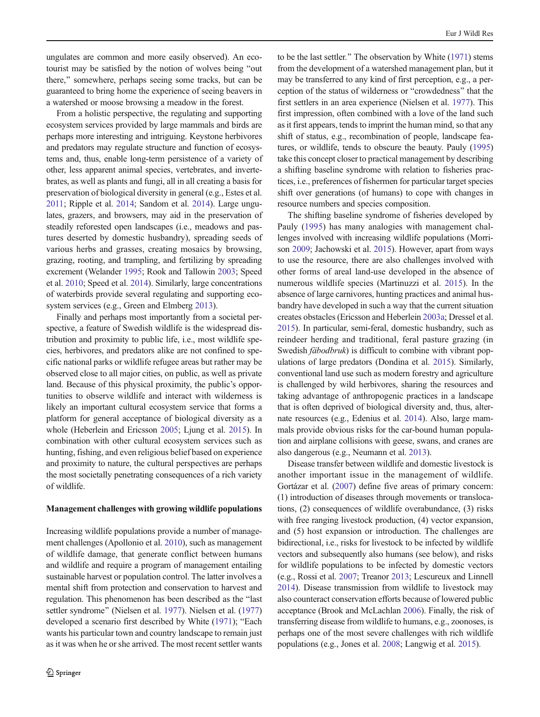ungulates are common and more easily observed). An ecotourist may be satisfied by the notion of wolves being "out there," somewhere, perhaps seeing some tracks, but can be guaranteed to bring home the experience of seeing beavers in a watershed or moose browsing a meadow in the forest.

From a holistic perspective, the regulating and supporting ecosystem services provided by large mammals and birds are perhaps more interesting and intriguing. Keystone herbivores and predators may regulate structure and function of ecosystems and, thus, enable long-term persistence of a variety of other, less apparent animal species, vertebrates, and invertebrates, as well as plants and fungi, all in all creating a basis for preservation of biological diversity in general (e.g., Estes et al. [2011](#page-6-0); Ripple et al. [2014;](#page-7-0) Sandom et al. [2014\)](#page-7-0). Large ungulates, grazers, and browsers, may aid in the preservation of steadily reforested open landscapes (i.e., meadows and pastures deserted by domestic husbandry), spreading seeds of various herbs and grasses, creating mosaics by browsing, grazing, rooting, and trampling, and fertilizing by spreading excrement (Welander [1995;](#page-7-0) Rook and Tallowin [2003;](#page-7-0) Speed et al. [2010;](#page-7-0) Speed et al. [2014](#page-7-0)). Similarly, large concentrations of waterbirds provide several regulating and supporting ecosystem services (e.g., Green and Elmberg [2013\)](#page-6-0).

Finally and perhaps most importantly from a societal perspective, a feature of Swedish wildlife is the widespread distribution and proximity to public life, i.e., most wildlife species, herbivores, and predators alike are not confined to specific national parks or wildlife refugee areas but rather may be observed close to all major cities, on public, as well as private land. Because of this physical proximity, the public's opportunities to observe wildlife and interact with wilderness is likely an important cultural ecosystem service that forms a platform for general acceptance of biological diversity as a whole (Heberlein and Ericsson [2005;](#page-6-0) Ljung et al. [2015\)](#page-7-0). In combination with other cultural ecosystem services such as hunting, fishing, and even religious belief based on experience and proximity to nature, the cultural perspectives are perhaps the most societally penetrating consequences of a rich variety of wildlife.

## Management challenges with growing wildlife populations

Increasing wildlife populations provide a number of management challenges (Apollonio et al. [2010](#page-6-0)), such as management of wildlife damage, that generate conflict between humans and wildlife and require a program of management entailing sustainable harvest or population control. The latter involves a mental shift from protection and conservation to harvest and regulation. This phenomenon has been described as the "last" settler syndrome" (Nielsen et al. [1977](#page-7-0)). Nielsen et al. [\(1977\)](#page-7-0). developed a scenario first described by White ([1971](#page-7-0)); "Each wants his particular town and country landscape to remain just as it was when he or she arrived. The most recent settler wants to be the last settler.^ The observation by White [\(1971\)](#page-7-0) stems from the development of a watershed management plan, but it may be transferred to any kind of first perception, e.g., a perception of the status of wilderness or "crowdedness" that the first settlers in an area experience (Nielsen et al. [1977](#page-7-0)). This first impression, often combined with a love of the land such as it first appears, tends to imprint the human mind, so that any shift of status, e.g., recombination of people, landscape features, or wildlife, tends to obscure the beauty. Pauly [\(1995](#page-7-0)) take this concept closer to practical management by describing a shifting baseline syndrome with relation to fisheries practices, i.e., preferences of fishermen for particular target species shift over generations (of humans) to cope with changes in resource numbers and species composition.

The shifting baseline syndrome of fisheries developed by Pauly ([1995](#page-7-0)) has many analogies with management challenges involved with increasing wildlife populations (Morrison [2009](#page-7-0); Jachowski et al. [2015\)](#page-6-0). However, apart from ways to use the resource, there are also challenges involved with other forms of areal land-use developed in the absence of numerous wildlife species (Martinuzzi et al. [2015\)](#page-7-0). In the absence of large carnivores, hunting practices and animal husbandry have developed in such a way that the current situation creates obstacles (Ericsson and Heberlein [2003a](#page-6-0); Dressel et al. [2015\)](#page-6-0). In particular, semi-feral, domestic husbandry, such as reindeer herding and traditional, feral pasture grazing (in Swedish *fäbodbruk*) is difficult to combine with vibrant populations of large predators (Dondina et al. [2015](#page-6-0)). Similarly, conventional land use such as modern forestry and agriculture is challenged by wild herbivores, sharing the resources and taking advantage of anthropogenic practices in a landscape that is often deprived of biological diversity and, thus, alternate resources (e.g., Edenius et al. [2014\)](#page-6-0). Also, large mammals provide obvious risks for the car-bound human population and airplane collisions with geese, swans, and cranes are also dangerous (e.g., Neumann et al. [2013\)](#page-7-0).

Disease transfer between wildlife and domestic livestock is another important issue in the management of wildlife. Gortázar et al. ([2007](#page-6-0)) define five areas of primary concern: (1) introduction of diseases through movements or translocations, (2) consequences of wildlife overabundance, (3) risks with free ranging livestock production,  $(4)$  vector expansion, and (5) host expansion or introduction. The challenges are bidirectional, i.e., risks for livestock to be infected by wildlife vectors and subsequently also humans (see below), and risks for wildlife populations to be infected by domestic vectors (e.g., Rossi et al. [2007;](#page-7-0) Treanor [2013](#page-7-0); Lescureux and Linnell [2014\)](#page-7-0). Disease transmission from wildlife to livestock may also counteract conservation efforts because of lowered public acceptance (Brook and McLachlan [2006\)](#page-6-0). Finally, the risk of transferring disease from wildlife to humans, e.g., zoonoses, is perhaps one of the most severe challenges with rich wildlife populations (e.g., Jones et al. [2008](#page-6-0); Langwig et al. [2015](#page-7-0)).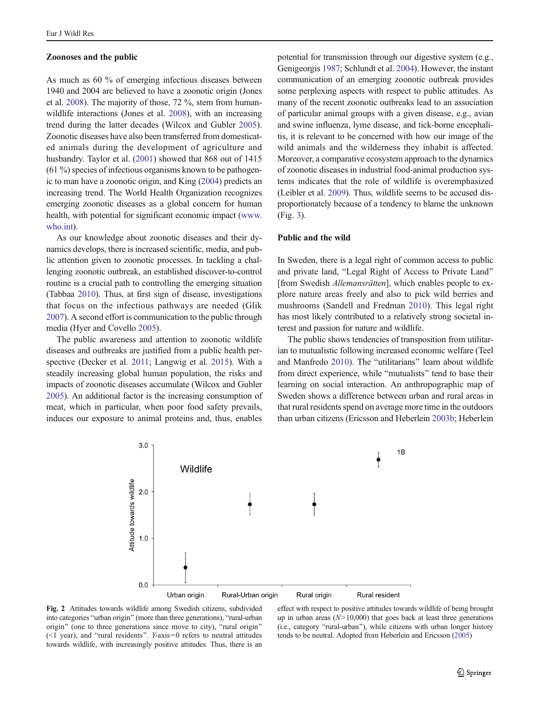#### <span id="page-4-0"></span>Zoonoses and the public

As much as 60 % of emerging infectious diseases between 1940 and 2004 are believed to have a zoonotic origin (Jones et al. [2008](#page-6-0)). The majority of those, 72 %, stem from humanwildlife interactions (Jones et al. [2008\)](#page-6-0), with an increasing trend during the latter decades (Wilcox and Gubler [2005](#page-7-0)). Zoonotic diseases have also been transferred from domesticated animals during the development of agriculture and husbandry. Taylor et al. ([2001](#page-7-0)) showed that 868 out of 1415  $(61\%)$  species of infectious organisms known to be pathogenic to man have a zoonotic origin, and King [\(2004\)](#page-6-0) predicts an increasing trend. The World Health Organization recognizes emerging zoonotic diseases as a global concern for human health, with potential for significant economic impact [\(www.](http://www.who.int/) [who.int](http://www.who.int/)).

As our knowledge about zoonotic diseases and their dynamics develops, there is increased scientific, media, and public attention given to zoonotic processes. In tackling a challenging zoonotic outbreak, an established discover-to-control routine is a crucial path to controlling the emerging situation (Tabbaa [2010](#page-7-0)). Thus, at first sign of disease, investigations that focus on the infectious pathways are needed (Glik [2007\)](#page-6-0). A second effort is communication to the public through media (Hyer and Covello [2005](#page-6-0)).

The public awareness and attention to zoonotic wildlife diseases and outbreaks are justified from a public health perspective (Decker et al. [2011](#page-6-0); Langwig et al. [2015\)](#page-7-0). With a steadily increasing global human population, the risks and impacts of zoonotic diseases accumulate (Wilcox and Gubler [2005\)](#page-7-0). An additional factor is the increasing consumption of meat, which in particular, when poor food safety prevails, induces our exposure to animal proteins and, thus, enables

potential for transmission through our digestive system (e.g., Genigeorgis [1987](#page-6-0); Schlundt et al. [2004\)](#page-7-0). However, the instant communication of an emerging zoonotic outbreak provides some perplexing aspects with respect to public attitudes. As many of the recent zoonotic outbreaks lead to an association of particular animal groups with a given disease, e.g., avian and swine influenza, lyme disease, and tick-borne encephalitis, it is relevant to be concerned with how our image of the wild animals and the wilderness they inhabit is affected. Moreover, a comparative ecosystem approach to the dynamics of zoonotic diseases in industrial food-animal production systems indicates that the role of wildlife is overemphasized (Leibler et al. [2009](#page-7-0)). Thus, wildlife seems to be accused disproportionately because of a tendency to blame the unknown (Fig. [3](#page-5-0)).

## Public and the wild

In Sweden, there is a legal right of common access to public and private land, "Legal Right of Access to Private Land" [from Swedish *Allemansrätten*], which enables people to explore nature areas freely and also to pick wild berries and mushrooms (Sandell and Fredman [2010](#page-7-0)). This legal right has most likely contributed to a relatively strong societal interest and passion for nature and wildlife.

The public shows tendencies of transposition from utilitarian to mutualistic following increased economic welfare (Teel and Manfredo [2010](#page-7-0)). The "utilitarians" learn about wildlife from direct experience, while "mutualists" tend to base their learning on social interaction. An anthropographic map of Sweden shows a difference between urban and rural areas in that rural residents spend on average more time in the outdoors than urban citizens (Ericsson and Heberlein [2003b](#page-6-0); Heberlein



Fig. 2 Attitudes towards wildlife among Swedish citizens, subdivided into categories "urban origin" (more than three generations), "rural-urban origin" (one to three generations since move to city), "rural origin"  $(\leq 1$  year), and "rural residents". Y-axis=0 refers to neutral attitudes towards wildlife, with increasingly positive attitudes. Thus, there is an

effect with respect to positive attitudes towards wildlife of being brought up in urban areas  $(N>10,000)$  that goes back at least three generations (i.e., category "rural-urban"), while citizens with urban longer history tends to be neutral. Adopted from Heberlein and Ericsson [\(2005\)](#page-6-0)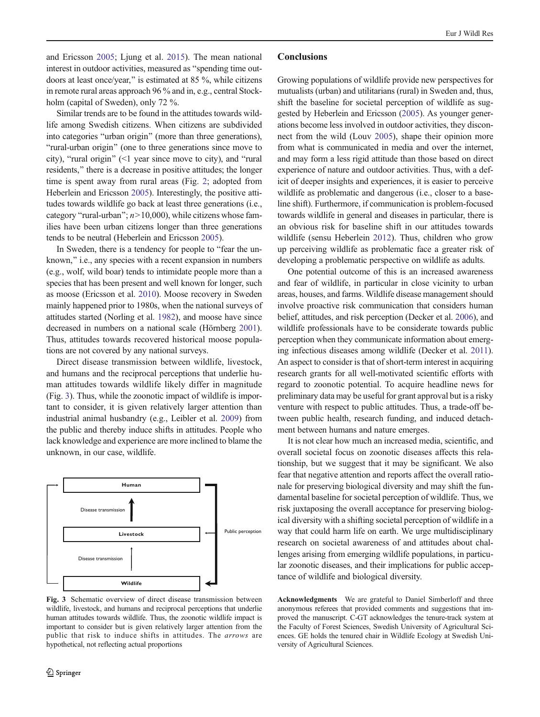<span id="page-5-0"></span>and Ericsson [2005](#page-6-0); Ljung et al. [2015\)](#page-7-0). The mean national interest in outdoor activities, measured as "spending time outdoors at least once/year," is estimated at 85 %, while citizens in remote rural areas approach 96 % and in, e.g., central Stockholm (capital of Sweden), only 72 %.

Similar trends are to be found in the attitudes towards wildlife among Swedish citizens. When citizens are subdivided into categories "urban origin" (more than three generations), "rural-urban origin" (one to three generations since move to city), "rural origin"  $($  <math>1 year since move to city), and "rural residents," there is a decrease in positive attitudes; the longer time is spent away from rural areas (Fig. [2](#page-4-0); adopted from Heberlein and Ericsson [2005](#page-6-0)). Interestingly, the positive attitudes towards wildlife go back at least three generations (i.e., category "rural-urban";  $n>10,000$ ), while citizens whose families have been urban citizens longer than three generations tends to be neutral (Heberlein and Ericsson [2005\)](#page-6-0).

In Sweden, there is a tendency for people to "fear the unknown," i.e., any species with a recent expansion in numbers (e.g., wolf, wild boar) tends to intimidate people more than a species that has been present and well known for longer, such as moose (Ericsson et al. [2010](#page-6-0)). Moose recovery in Sweden mainly happened prior to 1980s, when the national surveys of attitudes started (Norling et al. [1982](#page-7-0)), and moose have since decreased in numbers on a national scale (Hörnberg [2001\)](#page-6-0). Thus, attitudes towards recovered historical moose populations are not covered by any national surveys.

Direct disease transmission between wildlife, livestock, and humans and the reciprocal perceptions that underlie human attitudes towards wildlife likely differ in magnitude (Fig. 3). Thus, while the zoonotic impact of wildlife is important to consider, it is given relatively larger attention than industrial animal husbandry (e.g., Leibler et al. [2009](#page-7-0)) from the public and thereby induce shifts in attitudes. People who lack knowledge and experience are more inclined to blame the unknown, in our case, wildlife.



Fig. 3 Schematic overview of direct disease transmission between wildlife, livestock, and humans and reciprocal perceptions that underlie human attitudes towards wildlife. Thus, the zoonotic wildlife impact is important to consider but is given relatively larger attention from the public that risk to induce shifts in attitudes. The arrows are hypothetical, not reflecting actual proportions

#### **Conclusions**

Growing populations of wildlife provide new perspectives for mutualists (urban) and utilitarians (rural) in Sweden and, thus, shift the baseline for societal perception of wildlife as suggested by Heberlein and Ericsson [\(2005\)](#page-6-0). As younger generations become less involved in outdoor activities, they disconnect from the wild (Louv [2005](#page-7-0)), shape their opinion more from what is communicated in media and over the internet, and may form a less rigid attitude than those based on direct experience of nature and outdoor activities. Thus, with a deficit of deeper insights and experiences, it is easier to perceive wildlife as problematic and dangerous (i.e., closer to a baseline shift). Furthermore, if communication is problem-focused towards wildlife in general and diseases in particular, there is an obvious risk for baseline shift in our attitudes towards wildlife (sensu Heberlein [2012\)](#page-6-0). Thus, children who grow up perceiving wildlife as problematic face a greater risk of developing a problematic perspective on wildlife as adults.

One potential outcome of this is an increased awareness and fear of wildlife, in particular in close vicinity to urban areas, houses, and farms. Wildlife disease management should involve proactive risk communication that considers human belief, attitudes, and risk perception (Decker et al. [2006\)](#page-6-0), and wildlife professionals have to be considerate towards public perception when they communicate information about emerging infectious diseases among wildlife (Decker et al. [2011\)](#page-6-0). An aspect to consider is that of short-term interest in acquiring research grants for all well-motivated scientific efforts with regard to zoonotic potential. To acquire headline news for preliminary data may be useful for grant approval but is a risky venture with respect to public attitudes. Thus, a trade-off between public health, research funding, and induced detachment between humans and nature emerges.

It is not clear how much an increased media, scientific, and overall societal focus on zoonotic diseases affects this relationship, but we suggest that it may be significant. We also fear that negative attention and reports affect the overall rationale for preserving biological diversity and may shift the fundamental baseline for societal perception of wildlife. Thus, we risk juxtaposing the overall acceptance for preserving biological diversity with a shifting societal perception of wildlife in a way that could harm life on earth. We urge multidisciplinary research on societal awareness of and attitudes about challenges arising from emerging wildlife populations, in particular zoonotic diseases, and their implications for public acceptance of wildlife and biological diversity.

Acknowledgments We are grateful to Daniel Simberloff and three anonymous referees that provided comments and suggestions that improved the manuscript. C-GT acknowledges the tenure-track system at the Faculty of Forest Sciences, Swedish University of Agricultural Sciences. GE holds the tenured chair in Wildlife Ecology at Swedish University of Agricultural Sciences.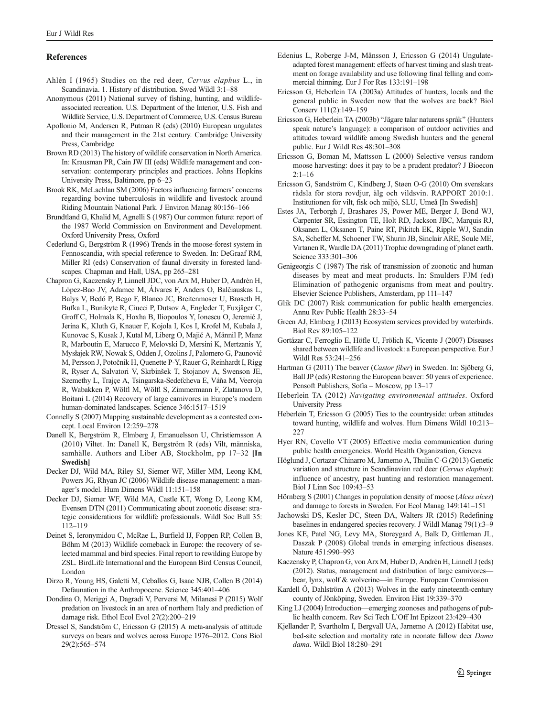## <span id="page-6-0"></span>References

- Ahlén I (1965) Studies on the red deer, Cervus elaphus L., in Scandinavia. 1. History of distribution. Swed Wildl 3:1–88
- Anonymous (2011) National survey of fishing, hunting, and wildlifeassociated recreation. U.S. Department of the Interior, U.S. Fish and Wildlife Service, U.S. Department of Commerce, U.S. Census Bureau
- Apollonio M, Andersen R, Putman R (eds) (2010) European ungulates and their management in the 21st century. Cambridge University Press, Cambridge
- Brown RD (2013) The history of wildlife conservation in North America. In: Krausman PR, Cain JW III (eds) Wildlife management and conservation: contemporary principles and practices. Johns Hopkins University Press, Baltimore, pp 6–23
- Brook RK, McLachlan SM (2006) Factors influencing farmers' concerns regarding bovine tuberculosis in wildlife and livestock around Riding Mountain National Park. J Environ Manag 80:156–166
- Brundtland G, Khalid M, Agnelli S (1987) Our common future: report of the 1987 World Commission on Environment and Development. Oxford University Press, Oxford
- Cederlund G, Bergström R (1996) Trends in the moose-forest system in Fennoscandia, with special reference to Sweden. In: DeGraaf RM, Miller RI (eds) Conservation of faunal diversity in forested landscapes. Chapman and Hall, USA, pp 265–281
- Chapron G, Kaczensky P, Linnell JDC, von Arx M, Huber D, Andrén H, López-Bao JV, Adamec M, Álvares F, Anders O, Balčiauskas L, Balys V, Bedő P, Bego F, Blanco JC, Breitenmoser U, Brøseth H, Bufka L, Bunikyte R, Ciucci P, Dutsov A, Engleder T, Fuxjäger C, Groff C, Holmala K, Hoxha B, Iliopoulos Y, Ionescu O, Jeremić J, Jerina K, Kluth G, Knauer F, Kojola I, Kos I, Krofel M, Kubala J, Kunovac S, Kusak J, Kutal M, Liberg O, Majić A, Männil P, Manz R, Marboutin E, Marucco F, Melovski D, Mersini K, Mertzanis Y, Mysłajek RW, Nowak S, Odden J, Ozolins J, Palomero G, Paunović M, Persson J, Potočnik H, Quenette P-Y, Rauer G, Reinhardt I, Rigg R, Ryser A, Salvatori V, Skrbinšek T, Stojanov A, Swenson JE, Szemethy L, Trajçe A, Tsingarska-Sedefcheva E, Váňa M, Veeroja R, Wabakken P, Wölfl M, Wölfl S, Zimmermann F, Zlatanova D, Boitani L (2014) Recovery of large carnivores in Europe's modern human-dominated landscapes. Science 346:1517–1519
- Connelly S (2007) Mapping sustainable development as a contested concept. Local Environ 12:259–278
- Danell K, Bergström R, Elmberg J, Emanuelsson U, Christiernsson A (2010) Viltet. In: Danell K, Bergström R (eds) Vilt, människa, samhälle. Authors and Liber AB, Stockholm, pp 17–32 [In Swedish]
- Decker DJ, Wild MA, Riley SJ, Siemer WF, Miller MM, Leong KM, Powers JG, Rhyan JC (2006) Wildlife disease management: a manager's model. Hum Dimens Wildl 11:151–158
- Decker DJ, Siemer WF, Wild MA, Castle KT, Wong D, Leong KM, Evensen DTN (2011) Communicating about zoonotic disease: strategic considerations for wildlife professionals. Wildl Soc Bull 35: 112–119
- Deinet S, Ieronymidou C, McRae L, Burfield IJ, Foppen RP, Collen B, Böhm M (2013) Wildlife comeback in Europe: the recovery of selected mammal and bird species. Final report to rewilding Europe by ZSL. BirdLife International and the European Bird Census Council, London
- Dirzo R, Young HS, Galetti M, Ceballos G, Isaac NJB, Collen B (2014) Defaunation in the Anthropocene. Science 345:401–406
- Dondina O, Meriggi A, Dagradi V, Perversi M, Milanesi P (2015) Wolf predation on livestock in an area of northern Italy and prediction of damage risk. Ethol Ecol Evol 27(2):200–219
- Dressel S, Sandström C, Ericsson G (2015) A meta-analysis of attitude surveys on bears and wolves across Europe 1976–2012. Cons Biol 29(2):565–574
- Edenius L, Roberge J-M, Månsson J, Ericsson G (2014) Ungulateadapted forest management: effects of harvest timing and slash treatment on forage availability and use following final felling and commercial thinning. Eur J For Res 133:191–198
- Ericsson G, Heberlein TA (2003a) Attitudes of hunters, locals and the general public in Sweden now that the wolves are back? Biol Conserv 111(2):149–159
- Ericsson G, Heberlein TA (2003b) "Jägare talar naturens språk" (Hunters speak nature's language): a comparison of outdoor activities and attitudes toward wildlife among Swedish hunters and the general public. Eur J Wildl Res 48:301–308
- Ericsson G, Boman M, Mattsson L (2000) Selective versus random moose harvesting: does it pay to be a prudent predator? J Bioecon  $2:1-16$
- Ericsson G, Sandström C, Kindberg J, Støen O-G (2010) Om svenskars rädsla för stora rovdjur, älg och vildsvin. RAPPORT 2010:1. Institutionen för vilt, fisk och miljö, SLU, Umeå [In Swedish]
- Estes JA, Terborgh J, Brashares JS, Power ME, Berger J, Bond WJ, Carpenter SR, Essington TE, Holt RD, Jackson JBC, Marquis RJ, Oksanen L, Oksanen T, Paine RT, Pikitch EK, Ripple WJ, Sandin SA, Scheffer M, Schoener TW, Shurin JB, Sinclair ARE, Soule ME, Virtanen R, Wardle DA (2011) Trophic downgrading of planet earth. Science 333:301–306
- Genigeorgis C (1987) The risk of transmission of zoonotic and human diseases by meat and meat products. In: Smulders FJM (ed) Elimination of pathogenic organisms from meat and poultry. Elsevier Science Publishers, Amsterdam, pp 111–147
- Glik DC (2007) Risk communication for public health emergencies. Annu Rev Public Health 28:33–54
- Green AJ, Elmberg J (2013) Ecosystem services provided by waterbirds. Biol Rev 89:105–122
- Gortázar C, Ferroglio E, Höfle U, Frölich K, Vicente J (2007) Diseases shared between wildlife and livestock: a European perspective. Eur J Wildl Res 53:241–256
- Hartman G (2011) The beaver (Castor fiber) in Sweden. In: Sjöberg G, Ball JP (eds) Restoring the European beaver: 50 years of experience. Pensoft Publishers, Sofia – Moscow, pp 13–17
- Heberlein TA (2012) Navigating environmental attitudes. Oxford University Press
- Heberlein T, Ericsson G (2005) Ties to the countryside: urban attitudes toward hunting, wildlife and wolves. Hum Dimens Wildl 10:213– 227
- Hyer RN, Covello VT (2005) Effective media communication during public health emergencies. World Health Organization, Geneva
- Höglund J, Cortazar-Chinarro M, Jarnemo A, Thulin C-G (2013) Genetic variation and structure in Scandinavian red deer (Cervus elaphus): influence of ancestry, past hunting and restoration management. Biol J Linn Soc 109:43–53
- Hörnberg S (2001) Changes in population density of moose (Alces alces) and damage to forests in Sweden. For Ecol Manag 149:141–151
- Jachowski DS, Kesler DC, Steen DA, Walters JR (2015) Redefining baselines in endangered species recovery. J Wildl Manag 79(1):3–9
- Jones KE, Patel NG, Levy MA, Storeygard A, Balk D, Gittleman JL, Daszak P (2008) Global trends in emerging infectious diseases. Nature 451:990–993
- Kaczensky P, Chapron G, von Arx M, Huber D, Andrén H, Linnell J (eds) (2012). Status, management and distribution of large carnivores bear, lynx, wolf & wolverine—in Europe. European Commission
- Kardell Ö, Dahlström A (2013) Wolves in the early nineteenth-century county of Jönköping, Sweden. Environ Hist 19:339–370
- King LJ (2004) Introduction—emerging zoonoses and pathogens of public health concern. Rev Sci Tech L'Off Int Epizoot 23:429–430
- Kjellander P, Svartholm I, Bergvall UA, Jarnemo A (2012) Habitat use, bed-site selection and mortality rate in neonate fallow deer Dama dama. Wildl Biol 18:280–291